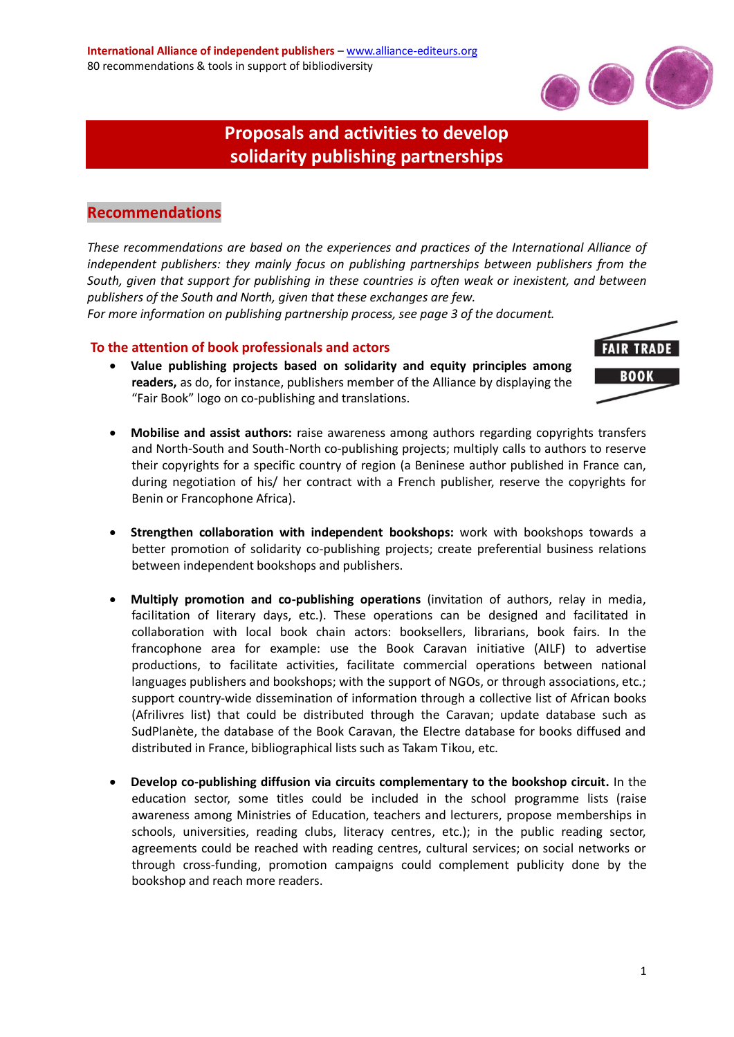

# **Proposals and activities to develop solidarity publishing partnerships**

# **Recommendations**

*These recommendations are based on the experiences and practices of the International Alliance of independent publishers: they mainly focus on publishing partnerships between publishers from the South, given that support for publishing in these countries is often weak or inexistent, and between publishers of the South and North, given that these exchanges are few.*

*For more information on publishing partnership process, see page 3 of the document.*

#### **To the attention of book professionals and actors**

 **Value publishing projects based on solidarity and equity principles among readers,** as do, for instance, publishers member of the Alliance by displaying the "Fair Book" logo on co-publishing and translations.



- **Mobilise and assist authors:** raise awareness among authors regarding copyrights transfers and North-South and South-North co-publishing projects; multiply calls to authors to reserve their copyrights for a specific country of region (a Beninese author published in France can, during negotiation of his/ her contract with a French publisher, reserve the copyrights for Benin or Francophone Africa).
- **Strengthen collaboration with independent bookshops:** work with bookshops towards a better promotion of solidarity co-publishing projects; create preferential business relations between independent bookshops and publishers.
- **Multiply promotion and co-publishing operations** (invitation of authors, relay in media, facilitation of literary days, etc.). These operations can be designed and facilitated in collaboration with local book chain actors: booksellers, librarians, book fairs. In the francophone area for example: use the Book Caravan initiative (AILF) to advertise productions, to facilitate activities, facilitate commercial operations between national languages publishers and bookshops; with the support of NGOs, or through associations, etc.; support country-wide dissemination of information through a collective list of African books (Afrilivres list) that could be distributed through the Caravan; update database such as SudPlanète, the database of the Book Caravan, the Electre database for books diffused and distributed in France, bibliographical lists such as Takam Tikou, etc.
- **Develop co-publishing diffusion via circuits complementary to the bookshop circuit.** In the education sector, some titles could be included in the school programme lists (raise awareness among Ministries of Education, teachers and lecturers, propose memberships in schools, universities, reading clubs, literacy centres, etc.); in the public reading sector, agreements could be reached with reading centres, cultural services; on social networks or through cross-funding, promotion campaigns could complement publicity done by the bookshop and reach more readers.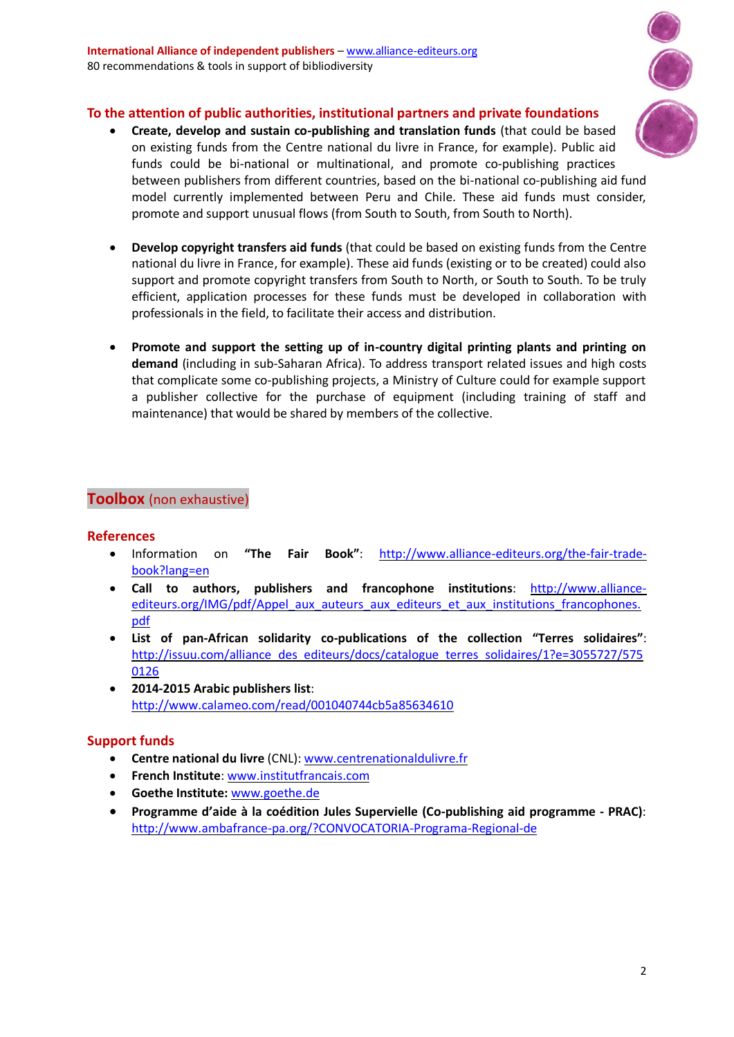

# **To the attention of public authorities, institutional partners and private foundations**

- **Create, develop and sustain co-publishing and translation funds** (that could be based on existing funds from the Centre national du livre in France, for example). Public aid funds could be bi-national or multinational, and promote co-publishing practices between publishers from different countries, based on the bi-national co-publishing aid fund model currently implemented between Peru and Chile. These aid funds must consider, promote and support unusual flows (from South to South, from South to North).
- **Develop copyright transfers aid funds** (that could be based on existing funds from the Centre national du livre in France, for example). These aid funds (existing or to be created) could also support and promote copyright transfers from South to North, or South to South. To be truly efficient, application processes for these funds must be developed in collaboration with professionals in the field, to facilitate their access and distribution.
- **Promote and support the setting up of in-country digital printing plants and printing on demand** (including in sub-Saharan Africa). To address transport related issues and high costs that complicate some co-publishing projects, a Ministry of Culture could for example support a publisher collective for the purchase of equipment (including training of staff and maintenance) that would be shared by members of the collective.

# **Toolbox** (non exhaustive)

# **References**

- Information on **"The Fair Book"**: [http://www.alliance-editeurs.org/the-fair-trade](http://www.alliance-editeurs.org/the-fair-trade-book?lang=en)[book?lang=en](http://www.alliance-editeurs.org/the-fair-trade-book?lang=en)
- **Call to authors, publishers and francophone institutions**: [http://www.alliance](http://www.alliance-editeurs.org/IMG/pdf/Appel_aux_auteurs_aux_editeurs_et_aux_institutions_francophones.pdf)[editeurs.org/IMG/pdf/Appel\\_aux\\_auteurs\\_aux\\_editeurs\\_et\\_aux\\_institutions\\_francophones.](http://www.alliance-editeurs.org/IMG/pdf/Appel_aux_auteurs_aux_editeurs_et_aux_institutions_francophones.pdf) [pdf](http://www.alliance-editeurs.org/IMG/pdf/Appel_aux_auteurs_aux_editeurs_et_aux_institutions_francophones.pdf)
- **List of pan-African solidarity co-publications of the collection "Terres solidaires"**: [http://issuu.com/alliance\\_des\\_editeurs/docs/catalogue\\_terres\\_solidaires/1?e=3055727/575](http://issuu.com/alliance_des_editeurs/docs/catalogue_terres_solidaires/1?e=3055727/5750126) [0126](http://issuu.com/alliance_des_editeurs/docs/catalogue_terres_solidaires/1?e=3055727/5750126)
- **2014-2015 Arabic publishers list**: <http://www.calameo.com/read/001040744cb5a85634610>

# **Support funds**

- **Centre national du livre** (CNL): [www.centrenationaldulivre.fr](http://www.centrenationaldulivre.fr/)
- **French Institute**: [www.institutfrancais.com](http://www.institutfrancais.com/)
- **Goethe Institute:** [www.goethe.de](http://www.goethe.de/)
- **Programme d'aide à la coédition Jules Supervielle (Co-publishing aid programme - PRAC)**: <http://www.ambafrance-pa.org/?CONVOCATORIA-Programa-Regional-de>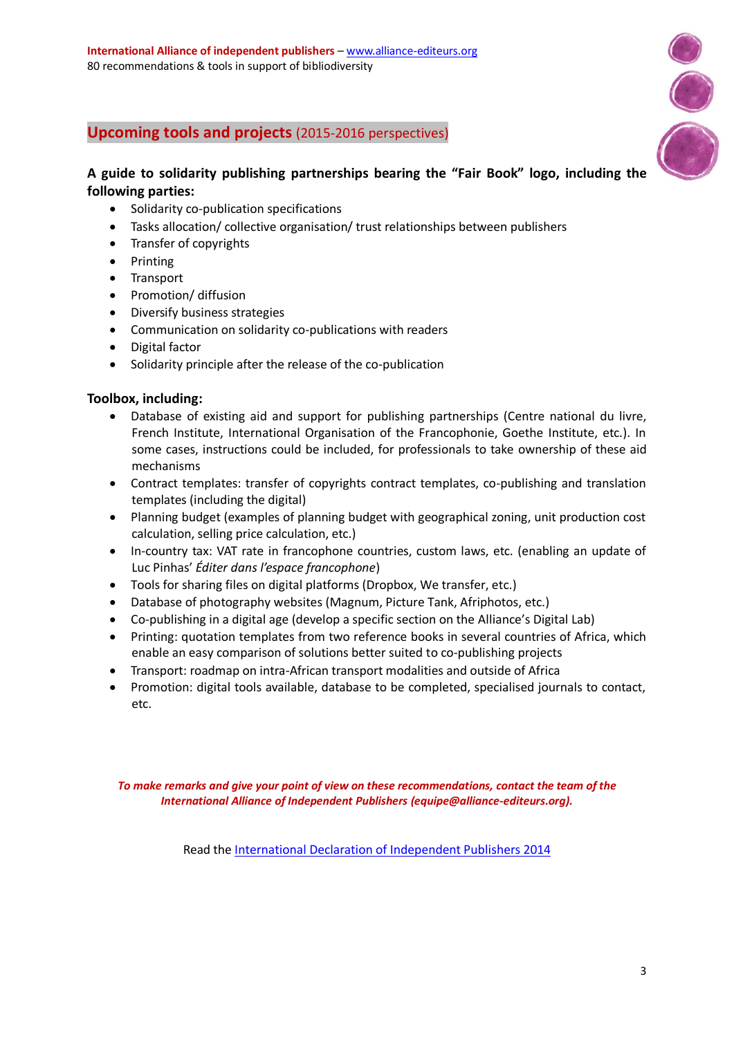

# **Upcoming tools and projects** (2015-2016 perspectives)

# **A guide to solidarity publishing partnerships bearing the "Fair Book" logo, including the following parties:**

- Solidarity co-publication specifications
- Tasks allocation/ collective organisation/ trust relationships between publishers
- Transfer of copyrights
- Printing
- Transport
- Promotion/ diffusion
- Diversify business strategies
- Communication on solidarity co-publications with readers
- Digital factor
- Solidarity principle after the release of the co-publication

# **Toolbox, including:**

- Database of existing aid and support for publishing partnerships (Centre national du livre, French Institute, International Organisation of the Francophonie, Goethe Institute, etc.). In some cases, instructions could be included, for professionals to take ownership of these aid mechanisms
- Contract templates: transfer of copyrights contract templates, co-publishing and translation templates (including the digital)
- Planning budget (examples of planning budget with geographical zoning, unit production cost calculation, selling price calculation, etc.)
- In-country tax: VAT rate in francophone countries, custom laws, etc. (enabling an update of Luc Pinhas' *Éditer dans l'espace francophone*)
- Tools for sharing files on digital platforms (Dropbox, We transfer, etc.)
- Database of photography websites (Magnum, Picture Tank, Afriphotos, etc.)
- Co-publishing in a digital age (develop a specific section on the Alliance's Digital Lab)
- Printing: quotation templates from two reference books in several countries of Africa, which enable an easy comparison of solutions better suited to co-publishing projects
- Transport: roadmap on intra-African transport modalities and outside of Africa
- Promotion: digital tools available, database to be completed, specialised journals to contact, etc.

*To make remarks and give your point of view on these recommendations, contact the team of the International Alliance of Independent Publishers (equipe@alliance-editeurs.org).*

Read the [International Declaration of](http://www.alliance-editeurs.org/IMG/pdf/international_declaration_of_independent_publishers_2014-6.pdf) Independent Publishers 2014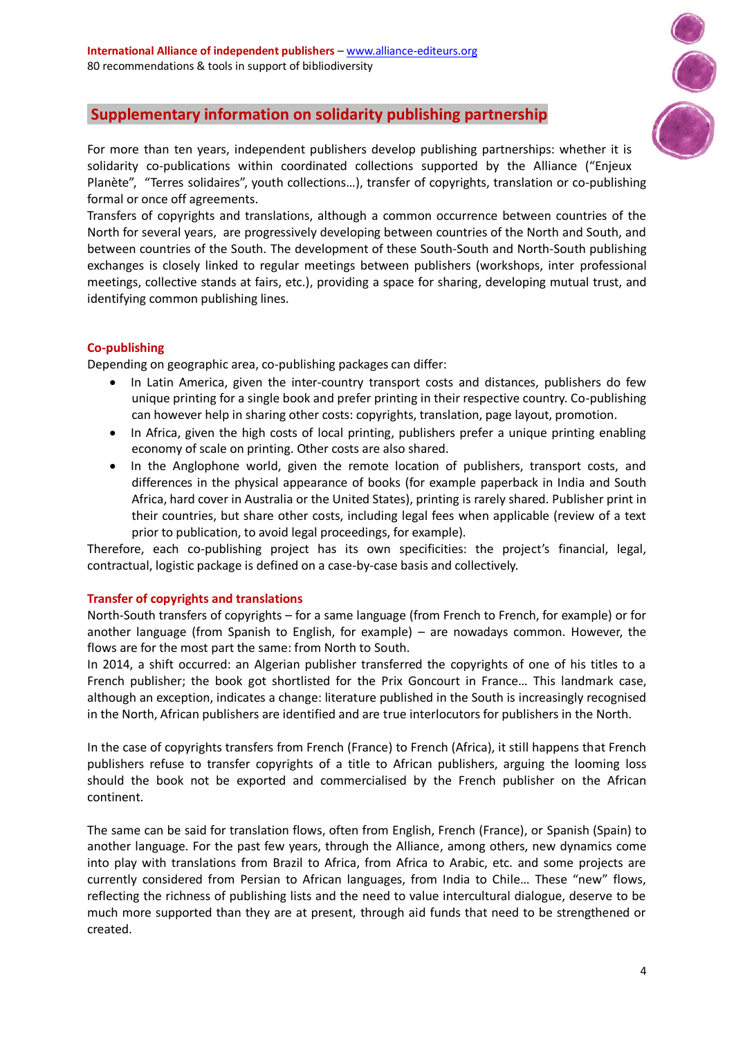

# **Supplementary information on solidarity publishing partnership**

For more than ten years, independent publishers develop publishing partnerships: whether it is solidarity co-publications within coordinated collections supported by the Alliance ("Enjeux Planète", "Terres solidaires", youth collections…), transfer of copyrights, translation or co-publishing formal or once off agreements.

Transfers of copyrights and translations, although a common occurrence between countries of the North for several years, are progressively developing between countries of the North and South, and between countries of the South. The development of these South-South and North-South publishing exchanges is closely linked to regular meetings between publishers (workshops, inter professional meetings, collective stands at fairs, etc.), providing a space for sharing, developing mutual trust, and identifying common publishing lines.

# **Co-publishing**

Depending on geographic area, co-publishing packages can differ:

- In Latin America, given the inter-country transport costs and distances, publishers do few unique printing for a single book and prefer printing in their respective country. Co-publishing can however help in sharing other costs: copyrights, translation, page layout, promotion.
- In Africa, given the high costs of local printing, publishers prefer a unique printing enabling economy of scale on printing. Other costs are also shared.
- In the Anglophone world, given the remote location of publishers, transport costs, and differences in the physical appearance of books (for example paperback in India and South Africa, hard cover in Australia or the United States), printing is rarely shared. Publisher print in their countries, but share other costs, including legal fees when applicable (review of a text prior to publication, to avoid legal proceedings, for example).

Therefore, each co-publishing project has its own specificities: the project's financial, legal, contractual, logistic package is defined on a case-by-case basis and collectively.

#### **Transfer of copyrights and translations**

North-South transfers of copyrights – for a same language (from French to French, for example) or for another language (from Spanish to English, for example) – are nowadays common. However, the flows are for the most part the same: from North to South.

In 2014, a shift occurred: an Algerian publisher transferred the copyrights of one of his titles to a French publisher; the book got shortlisted for the Prix Goncourt in France… This landmark case, although an exception, indicates a change: literature published in the South is increasingly recognised in the North, African publishers are identified and are true interlocutors for publishers in the North.

In the case of copyrights transfers from French (France) to French (Africa), it still happens that French publishers refuse to transfer copyrights of a title to African publishers, arguing the looming loss should the book not be exported and commercialised by the French publisher on the African continent.

The same can be said for translation flows, often from English, French (France), or Spanish (Spain) to another language. For the past few years, through the Alliance, among others, new dynamics come into play with translations from Brazil to Africa, from Africa to Arabic, etc. and some projects are currently considered from Persian to African languages, from India to Chile… These "new" flows, reflecting the richness of publishing lists and the need to value intercultural dialogue, deserve to be much more supported than they are at present, through aid funds that need to be strengthened or created.